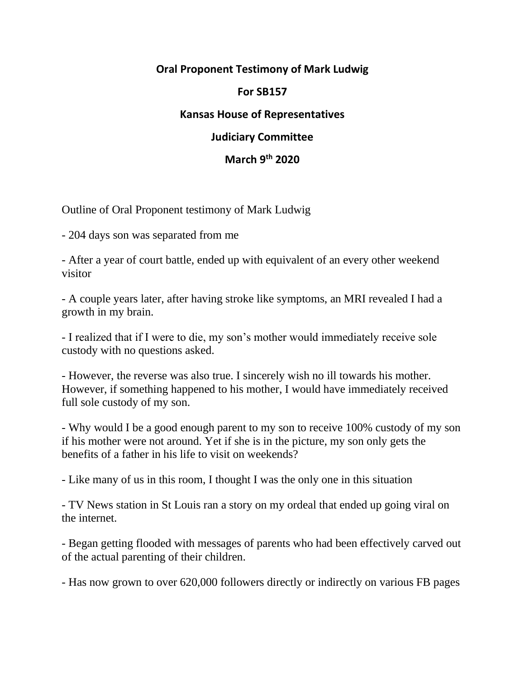## **Oral Proponent Testimony of Mark Ludwig**

#### **For SB157**

# **Kansas House of Representatives**

### **Judiciary Committee**

### **March 9th 2020**

#### Outline of Oral Proponent testimony of Mark Ludwig

- 204 days son was separated from me

- After a year of court battle, ended up with equivalent of an every other weekend visitor

- A couple years later, after having stroke like symptoms, an MRI revealed I had a growth in my brain.

- I realized that if I were to die, my son's mother would immediately receive sole custody with no questions asked.

- However, the reverse was also true. I sincerely wish no ill towards his mother. However, if something happened to his mother, I would have immediately received full sole custody of my son.

- Why would I be a good enough parent to my son to receive 100% custody of my son if his mother were not around. Yet if she is in the picture, my son only gets the benefits of a father in his life to visit on weekends?

- Like many of us in this room, I thought I was the only one in this situation

- TV News station in St Louis ran a story on my ordeal that ended up going viral on the internet.

- Began getting flooded with messages of parents who had been effectively carved out of the actual parenting of their children.

- Has now grown to over 620,000 followers directly or indirectly on various FB pages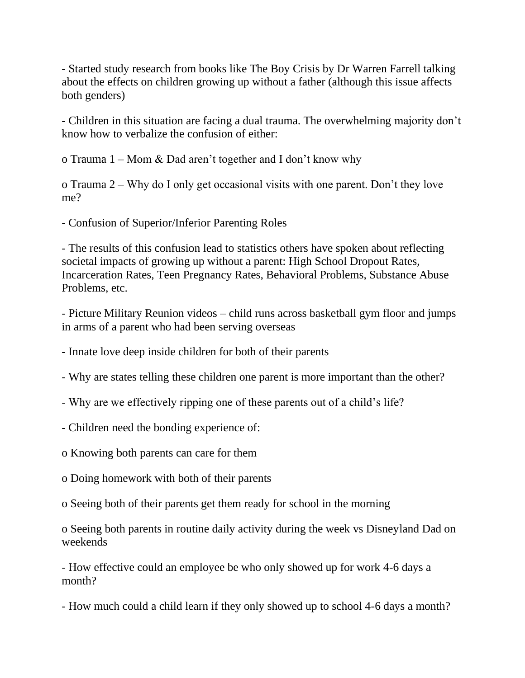- Started study research from books like The Boy Crisis by Dr Warren Farrell talking about the effects on children growing up without a father (although this issue affects both genders)

- Children in this situation are facing a dual trauma. The overwhelming majority don't know how to verbalize the confusion of either:

o Trauma 1 – Mom & Dad aren't together and I don't know why

o Trauma 2 – Why do I only get occasional visits with one parent. Don't they love me?

- Confusion of Superior/Inferior Parenting Roles

- The results of this confusion lead to statistics others have spoken about reflecting societal impacts of growing up without a parent: High School Dropout Rates, Incarceration Rates, Teen Pregnancy Rates, Behavioral Problems, Substance Abuse Problems, etc.

- Picture Military Reunion videos – child runs across basketball gym floor and jumps in arms of a parent who had been serving overseas

- Innate love deep inside children for both of their parents

- Why are states telling these children one parent is more important than the other?

- Why are we effectively ripping one of these parents out of a child's life?

- Children need the bonding experience of:

o Knowing both parents can care for them

o Doing homework with both of their parents

o Seeing both of their parents get them ready for school in the morning

o Seeing both parents in routine daily activity during the week vs Disneyland Dad on weekends

- How effective could an employee be who only showed up for work 4-6 days a month?

- How much could a child learn if they only showed up to school 4-6 days a month?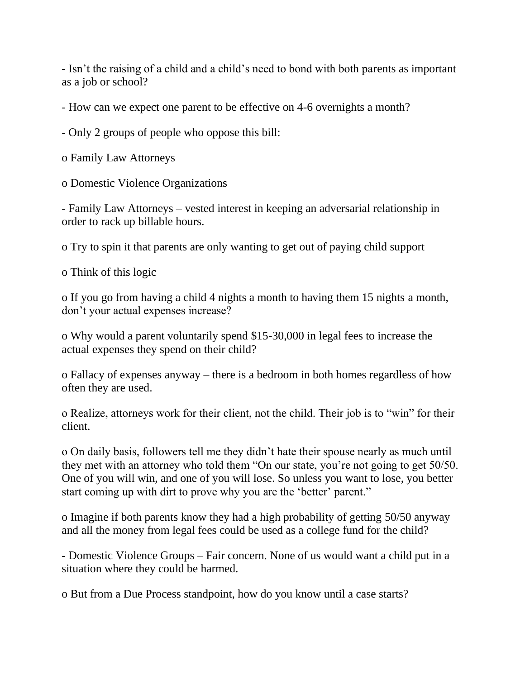- Isn't the raising of a child and a child's need to bond with both parents as important as a job or school?

- How can we expect one parent to be effective on 4-6 overnights a month?

- Only 2 groups of people who oppose this bill:

o Family Law Attorneys

o Domestic Violence Organizations

- Family Law Attorneys – vested interest in keeping an adversarial relationship in order to rack up billable hours.

o Try to spin it that parents are only wanting to get out of paying child support

o Think of this logic

o If you go from having a child 4 nights a month to having them 15 nights a month, don't your actual expenses increase?

o Why would a parent voluntarily spend \$15-30,000 in legal fees to increase the actual expenses they spend on their child?

o Fallacy of expenses anyway – there is a bedroom in both homes regardless of how often they are used.

o Realize, attorneys work for their client, not the child. Their job is to "win" for their client.

o On daily basis, followers tell me they didn't hate their spouse nearly as much until they met with an attorney who told them "On our state, you're not going to get 50/50. One of you will win, and one of you will lose. So unless you want to lose, you better start coming up with dirt to prove why you are the 'better' parent."

o Imagine if both parents know they had a high probability of getting 50/50 anyway and all the money from legal fees could be used as a college fund for the child?

- Domestic Violence Groups – Fair concern. None of us would want a child put in a situation where they could be harmed.

o But from a Due Process standpoint, how do you know until a case starts?